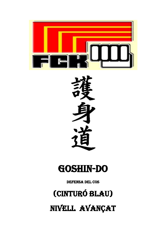

## **GOSHIN-DO**

**DEFENSA DEL COS** 

# (CINTURÓ BLAU)

NIVELL AVANÇAT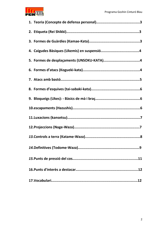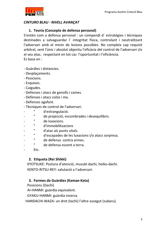

#### **CINTURO BLAU - NIVELL AVANCAT**

#### 1. Teoria (Concepte de defensa personal)

S'entén com a defensa personal : un compendi d'estratègies i tècniques destinades a salvaguardar l'integritat física, controlant i neutralitzant l'adversari amb el minin de lesions possibles. No compleix cap requisit arbitral, sent l'únic i absolut objectiu l'eficàcia del control de l'adversari i/o el seu atac, respectant en tot cas l'oportunitat i l'eficiència. Es basa en :

- Guàrdies i distàncies.
- Desplacaments.
- Posicions.
- Esquives.
- Caigudes.
- Defenses i atacs de genolls i cames.
- Defenses i atacs colze i ma.
- Defenses agafant.
- Tècniques de control de l'adversari.
- $\mathbf{u}$ d'estrangulació.
- Ĥ. de projecció, escombrades i desequilibris.
- $\mathbf{H}$ de luxacions.
- $\mathbf H$ d'immobilitzacions
- $\mathbf H$ d'atac als punts vitals.  $\overline{a}$
- $\mathbf H$ d'escapades de les luxacions i/o atacs sorpresa.
- $\mathbf{H}$ de defensa contra armes.
- $\mathbf{H}^+$ de defensa essent a terra.
- Etc.

#### 2. Etiqueta (Rei Shikki)

KYOTSUKE: Postura d'atenció, musubi dachi, heiko-dachi. KENTO-RITSU-REY: salutació a l'adversari.

#### 3. Formes de Guàrdies (Kamae-Kata)

Posicions (Dachi)

AI-HANMI: guàrdia equivalent.

GYAKU-HANMI: guàrdia inversa

HANDACHI-WAZA: un dret (tachi) l'altre assegut (subaru).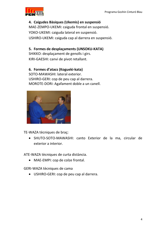

## 4. Caigudes Bàsiques (Ukemis) en suspensió

MAE-ZEMPO-UKEMI: caiguda frontal en suspensió. YOKO-UKEMI: caiguda lateral en suspensió. USHIRO-UKEMI: caiguda cap al darrera en suspensió.

#### 5. Formes de desplaçaments (UNSOKU-KATA)

SHIKKO: desplaçament de genolls i girs. KIRI-GAESHI: canvi de pivot retallant.

#### 6. Formes d'atacs (Kogueki-kata)

SOTO-MAWASHI: lateral exterior. USHIRO-GERI: cop de peu cap al darrera. MOROTE-DORI: Agafament doble a un canell.



TE-WAZA tècniques de braç:

• SHUTO-SOTO-MAWASHI: canto Exterior de la ma, circular de exterior a interior.

ATE-WAZA tècniques de curta distància.

• MAE-EMPI: cop de colze frontal.

GERI-WAZA tècniques de cama

• USHIRO-GERI: cop de peu cap al darrera.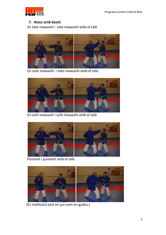

#### 7. Atacs amb bastó

En tate mawashi i tate mawashi amb el taló



En soto mawashi i soto mawashi amb el taló.



En uchi mawashi i uchi mawashi amb el taló



Punxant i punxant amb el taló



(Es realitzarà tant en jun com en gyaku.)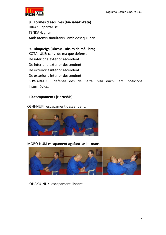

#### 8. Formes d'esquives (tai-sabaki-kata)

HIRAKI: apartar-se TENKAN: girar Amb atemis simultanis i amb desequilibris.

9. Bloqueigs (Ukes): - Bàsics de mà i braç

KOTAI-UKE: canvi de ma que defensa

De interior a exterior ascendent.

De interior a exterior descendent.

De exterior a interior ascendent.

De exterior a interior descendent.

SUWARI-UKE: defensa des de Saiza, hiza dachi, etc. posicions intermèdies.

#### 10.escapaments (Hazushis)

OSHI-NUKI: escapament descendent.



#### MORO-NUKI escapament agafant-se les mans.



JOHAKU-NUKI escapament lliscant.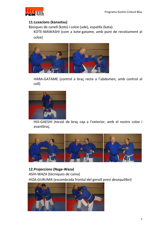

#### 11. Luxacions (kansetsu)

Bàsiques de canell (kote) i colze (ude), espatlla (kata).

KOTE-MAWASHI (com a kote-gatame, amb punt de recolzament al colze)



HARA-GATAME (control a braç recte a l'abdomen, amb control al coll)



HIJI-GAESHI (torsió de braç cap a l'exterior, amb el nostre colze i avantbraç.



12. Projeccions (Nage-Waza) ASHI-WAZA (tècniques de cama) HIZA-GURUMA (escombrada frontal del genoll previ desequilibri)

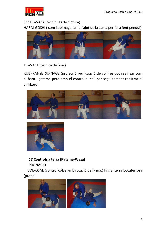

KOSHI-WAZA (tècniques de cintura)

HARAI-GOSHI (com kubi-nage, amb l'ajut de la cama per fora fent pèndul)



#### TE-WAZA (tècnica de braç)

KUBI-KANSETSU-NAGE (projecció per luxació de coll) es pot realitzar com el hara- gatame però amb el control al coll per seguidament realitzar el chikkoro.





### 13. Controls a terra (Katame-Waza)

PRONACIÓ

UDE-OSAE (control colze amb rotació de la mà.) fins al terra bocaterrosa  $(prono)$ 

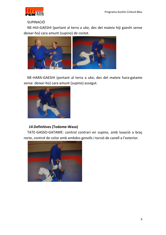

#### **SUPINACIÓ**

NE-HIJI-GAESHI (portant al terra a uke, des del mateix hiji gaeshi sense deixar-ho) cara amunt (supino) de costat.



NE-HARA-GAESHI (portant al terra a uke, des del mateix hara-gatame sense deixar-ho) cara amunt (supino) assegut.



#### 14. Definitives (Todome-Waza)

TATE-GASSO-GATAME: control contrari en supino, amb luxació a braç recte, control de colze amb ambdos genolls i torsió de canell a l'exterior.

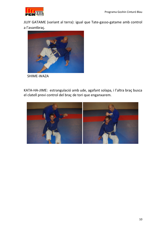

JUJY GATAME (variant al terra): igual que Tate-gasso-gatame amb control a l'avantbraç.



SHIME-WAZA

KATA-HA-JIME: estrangulació amb ude, agafant solapa, i l'altra braç busca el clatell previ control del braç de tori que enganxarem.

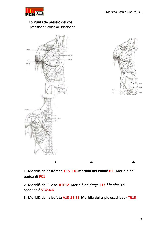

## 15. Punts de pressió del cos

pressionar, colpejar, friccionar





1.-Meridià de l'estómac E15 E16 Meridià del Pulmó P1 Meridià del

pericardi PC1

2.-Meridià de l' Baso RTE12 Meridià del fetge F12 Meridià got concepció VC2-4-6

3.-Meridià del la bufeta V13-14-15 Meridià del triple escalfador TR15

 $2. -$ 

 $3 -$